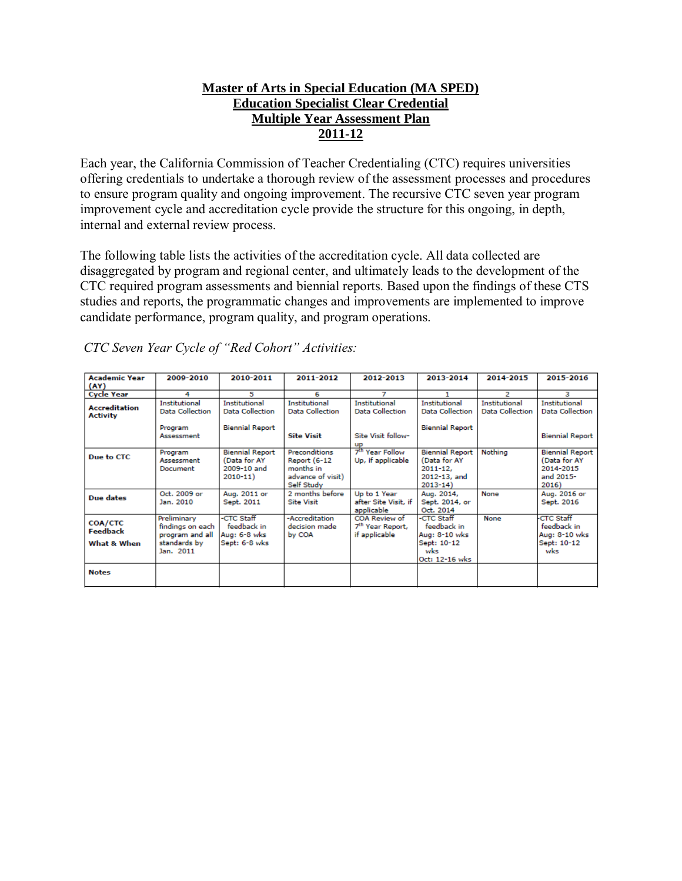# **Master of Arts in Special Education (MA SPED) Education Specialist Clear Credential Multiple Year Assessment Plan 2011-12**

Each year, the California Commission of Teacher Credentialing (CTC) requires universities offering credentials to undertake a thorough review of the assessment processes and procedures to ensure program quality and ongoing improvement. The recursive CTC seven year program improvement cycle and accreditation cycle provide the structure for this ongoing, in depth, internal and external review process.

The following table lists the activities of the accreditation cycle. All data collected are disaggregated by program and regional center, and ultimately leads to the development of the CTC required program assessments and biennial reports. Based upon the findings of these CTS studies and reports, the programmatic changes and improvements are implemented to improve candidate performance, program quality, and program operations.

| <b>Academic Year</b><br>(AY)                     | 2009-2010                                                                       | 2010-2011                                                            | 2011-2012                                                                     | 2012-2013                                                                  | 2013-2014                                                                             | 2014-2015                                      | 2015-2016                                                                 |
|--------------------------------------------------|---------------------------------------------------------------------------------|----------------------------------------------------------------------|-------------------------------------------------------------------------------|----------------------------------------------------------------------------|---------------------------------------------------------------------------------------|------------------------------------------------|---------------------------------------------------------------------------|
| <b>Cycle Year</b>                                | 4                                                                               | 5                                                                    | 6                                                                             |                                                                            |                                                                                       | 2                                              | з                                                                         |
| <b>Accreditation</b><br><b>Activity</b>          | <b>Institutional</b><br><b>Data Collection</b><br>Program<br>Assessment         | Institutional<br><b>Data Collection</b><br><b>Biennial Report</b>    | <b>Institutional</b><br>Data Collection<br><b>Site Visit</b>                  | <b>Institutional</b><br>Data Collection<br>Site Visit follow-<br><b>UP</b> | <b>Institutional</b><br><b>Data Collection</b><br><b>Biennial Report</b>              | <b>Institutional</b><br><b>Data Collection</b> | <b>Institutional</b><br><b>Data Collection</b><br><b>Biennial Report</b>  |
| Due to CTC                                       | Program<br>Assessment<br>Document                                               | <b>Biennial Report</b><br>(Data for AY<br>2009-10 and<br>$2010 - 11$ | Preconditions<br>Report (6-12<br>months in<br>advance of visit)<br>Self Study | 7 <sup>th</sup> Year Follow<br>Up, if applicable                           | <b>Biennial Report</b><br>(Data for AY<br>$2011 - 12.$<br>2012-13, and<br>$2013 - 14$ | Nothing                                        | <b>Biennial Report</b><br>(Data for AY<br>2014-2015<br>and 2015-<br>2016) |
| Due dates                                        | Oct. 2009 or<br>Jan. 2010                                                       | Aug. 2011 or<br>Sept. 2011                                           | 2 months before<br><b>Site Visit</b>                                          | Up to 1 Year<br>after Site Visit, if<br>applicable                         | Aug. 2014,<br>Sept. 2014, or<br>Oct. 2014                                             | None                                           | Aug. 2016 or<br>Sept. 2016                                                |
| <b>COA/CTC</b><br><b>Feedback</b><br>What & When | Preliminary<br>findings on each<br>program and all<br>standards by<br>Jan. 2011 | -CTC Staff<br>feedback in<br>Aug: 6-8 wks<br>Sept: 6-8 wks           | -Accreditation<br>decision made.<br>by COA                                    | COA Review of<br>7 <sup>th</sup> Year Report,<br>if applicable             | -CTC Staff<br>feedback in<br>Aug: 8-10 wks<br>Sept: 10-12<br>wks<br>Oct: 12-16 wks    | None                                           | <b>CTC Staff</b><br>feedback in<br>Aug: 8-10 wks<br>Sept: 10-12<br>wks    |
| <b>Notes</b>                                     |                                                                                 |                                                                      |                                                                               |                                                                            |                                                                                       |                                                |                                                                           |

*CTC Seven Year Cycle of "Red Cohort" Activities:*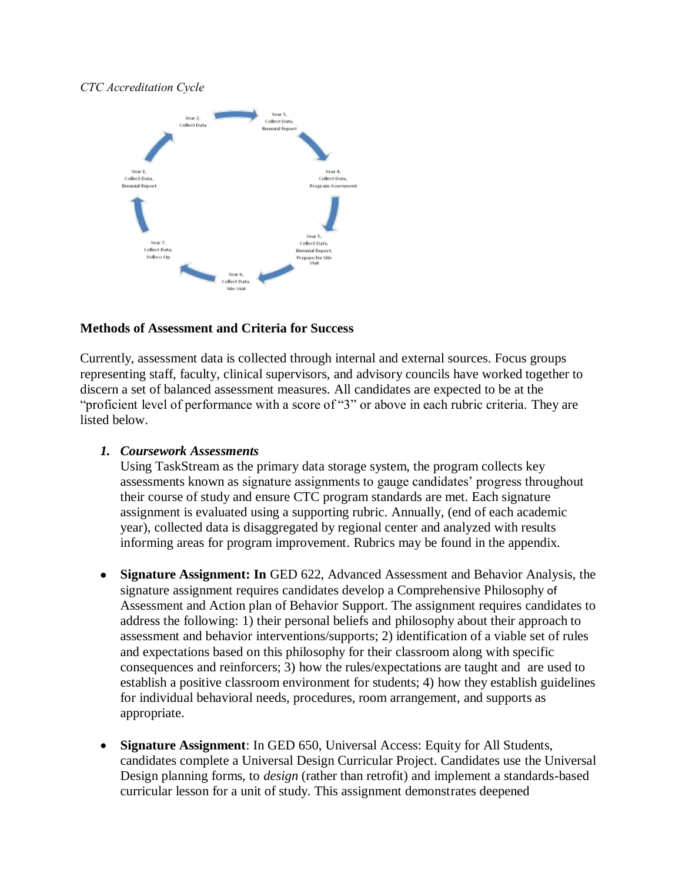### *CTC Accreditation Cycle*



### **Methods of Assessment and Criteria for Success**

Currently, assessment data is collected through internal and external sources. Focus groups representing staff, faculty, clinical supervisors, and advisory councils have worked together to discern a set of balanced assessment measures. All candidates are expected to be at the "proficient level of performance with a score of "3" or above in each rubric criteria. They are listed below.

#### *1. Coursework Assessments*

Using TaskStream as the primary data storage system, the program collects key assessments known as signature assignments to gauge candidates' progress throughout their course of study and ensure CTC program standards are met. Each signature assignment is evaluated using a supporting rubric. Annually, (end of each academic year), collected data is disaggregated by regional center and analyzed with results informing areas for program improvement. Rubrics may be found in the appendix.

- **Signature Assignment: In** GED 622, Advanced Assessment and Behavior Analysis, the signature assignment requires candidates develop a Comprehensive Philosophy of Assessment and Action plan of Behavior Support. The assignment requires candidates to address the following: 1) their personal beliefs and philosophy about their approach to assessment and behavior interventions/supports; 2) identification of a viable set of rules and expectations based on this philosophy for their classroom along with specific consequences and reinforcers; 3) how the rules/expectations are taught and are used to establish a positive classroom environment for students; 4) how they establish guidelines for individual behavioral needs, procedures, room arrangement, and supports as appropriate.
- **Signature Assignment**: In GED 650, Universal Access: Equity for All Students, candidates complete a Universal Design Curricular Project. Candidates use the Universal Design planning forms, to *design* (rather than retrofit) and implement a standards-based curricular lesson for a unit of study. This assignment demonstrates deepened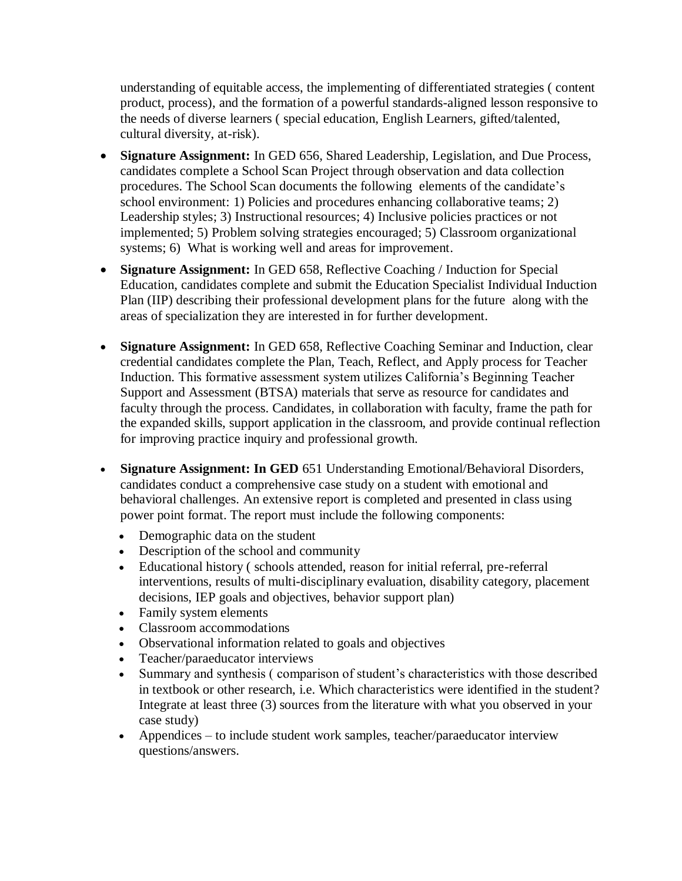understanding of equitable access, the implementing of differentiated strategies ( content product, process), and the formation of a powerful standards-aligned lesson responsive to the needs of diverse learners ( special education, English Learners, gifted/talented, cultural diversity, at-risk).

- **Signature Assignment:** In GED 656, Shared Leadership, Legislation, and Due Process, candidates complete a School Scan Project through observation and data collection procedures. The School Scan documents the following elements of the candidate's school environment: 1) Policies and procedures enhancing collaborative teams; 2) Leadership styles; 3) Instructional resources; 4) Inclusive policies practices or not implemented; 5) Problem solving strategies encouraged; 5) Classroom organizational systems; 6) What is working well and areas for improvement.
- **Signature Assignment:** In GED 658, Reflective Coaching / Induction for Special Education, candidates complete and submit the Education Specialist Individual Induction Plan (IIP) describing their professional development plans for the future along with the areas of specialization they are interested in for further development.
- **Signature Assignment:** In GED 658, Reflective Coaching Seminar and Induction, clear credential candidates complete the Plan, Teach, Reflect, and Apply process for Teacher Induction. This formative assessment system utilizes California's Beginning Teacher Support and Assessment (BTSA) materials that serve as resource for candidates and faculty through the process. Candidates, in collaboration with faculty, frame the path for the expanded skills, support application in the classroom, and provide continual reflection for improving practice inquiry and professional growth.
- **Signature Assignment: In GED** 651 Understanding Emotional/Behavioral Disorders, candidates conduct a comprehensive case study on a student with emotional and behavioral challenges. An extensive report is completed and presented in class using power point format. The report must include the following components:
	- Demographic data on the student
	- Description of the school and community
	- Educational history ( schools attended, reason for initial referral, pre-referral interventions, results of multi-disciplinary evaluation, disability category, placement decisions, IEP goals and objectives, behavior support plan)
	- Family system elements
	- Classroom accommodations
	- Observational information related to goals and objectives
	- Teacher/paraeducator interviews
	- Summary and synthesis ( comparison of student's characteristics with those described in textbook or other research, i.e. Which characteristics were identified in the student? Integrate at least three (3) sources from the literature with what you observed in your case study)
	- Appendices to include student work samples, teacher/paraeducator interview questions/answers.